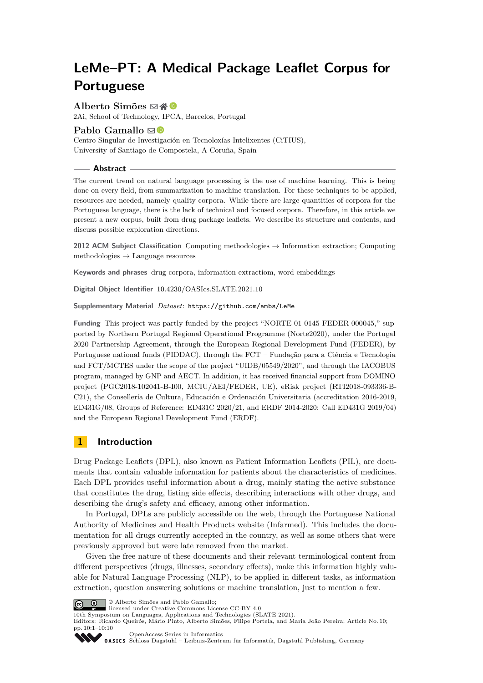# **LeMe–PT: A Medical Package Leaflet Corpus for Portuguese**

## **Alberto Simões** ⊠A **©**

2Ai, School of Technology, IPCA, Barcelos, Portugal

## **Pablo Gamallo** ⊠<sup>®</sup>

Centro Singular de Investigación en Tecnoloxías Intelixentes (CiTIUS), University of Santiago de Compostela, A Coruña, Spain

#### **Abstract**

The current trend on natural language processing is the use of machine learning. This is being done on every field, from summarization to machine translation. For these techniques to be applied, resources are needed, namely quality corpora. While there are large quantities of corpora for the Portuguese language, there is the lack of technical and focused corpora. Therefore, in this article we present a new corpus, built from drug package leaflets. We describe its structure and contents, and discuss possible exploration directions.

**2012 ACM Subject Classification** Computing methodologies → Information extraction; Computing methodologies  $\rightarrow$  Language resources

**Keywords and phrases** drug corpora, information extractiom, word embeddings

**Digital Object Identifier** [10.4230/OASIcs.SLATE.2021.10](https://doi.org/10.4230/OASIcs.SLATE.2021.10)

**Supplementary Material** *Dataset*: <https://github.com/ambs/LeMe>

**Funding** This project was partly funded by the project "NORTE-01-0145-FEDER-000045," supported by Northern Portugal Regional Operational Programme (Norte2020), under the Portugal 2020 Partnership Agreement, through the European Regional Development Fund (FEDER), by Portuguese national funds (PIDDAC), through the FCT – Fundação para a Ciência e Tecnologia and FCT/MCTES under the scope of the project "UIDB/05549/2020", and through the IACOBUS program, managed by GNP and AECT. In addition, it has received financial support from DOMINO project (PGC2018-102041-B-I00, MCIU/AEI/FEDER, UE), eRisk project (RTI2018-093336-B-C21), the Consellería de Cultura, Educación e Ordenación Universitaria (accreditation 2016-2019, ED431G/08, Groups of Reference: ED431C 2020/21, and ERDF 2014-2020: Call ED431G 2019/04) and the European Regional Development Fund (ERDF).

# **1 Introduction**

Drug Package Leaflets (DPL), also known as Patient Information Leaflets (PIL), are documents that contain valuable information for patients about the characteristics of medicines. Each DPL provides useful information about a drug, mainly stating the active substance that constitutes the drug, listing side effects, describing interactions with other drugs, and describing the drug's safety and efficacy, among other information.

In Portugal, DPLs are publicly accessible on the web, through the Portuguese National Authority of Medicines and Health Products website (Infarmed). This includes the documentation for all drugs currently accepted in the country, as well as some others that were previously approved but were late removed from the market.

Given the free nature of these documents and their relevant terminological content from different perspectives (drugs, illnesses, secondary effects), make this information highly valuable for Natural Language Processing (NLP), to be applied in different tasks, as information extraction, question answering solutions or machine translation, just to mention a few.



© Alberto Simões and Pablo Gamallo;

licensed under Creative Commons License CC-BY 4.0

10th Symposium on Languages, Applications and Technologies (SLATE 2021).

Editors: Ricardo Queirós, Mário Pinto, Alberto Simões, Filipe Portela, and Maria João Pereira; Article No. 10; pp. 10:1–10:10



[OpenAccess Series in Informatics](https://www.dagstuhl.de/oasics/) OASICS [Schloss Dagstuhl – Leibniz-Zentrum für Informatik, Dagstuhl Publishing, Germany](https://www.dagstuhl.de)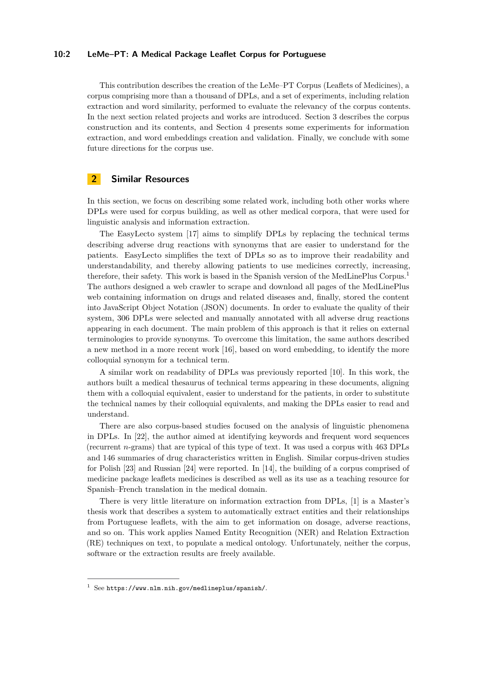### **10:2 LeMe–PT: A Medical Package Leaflet Corpus for Portuguese**

This contribution describes the creation of the LeMe–PT Corpus (Leaflets of Medicines), a corpus comprising more than a thousand of DPLs, and a set of experiments, including relation extraction and word similarity, performed to evaluate the relevancy of the corpus contents. In the next section related projects and works are introduced. Section [3](#page-2-0) describes the corpus construction and its contents, and Section [4](#page-3-0) presents some experiments for information extraction, and word embeddings creation and validation. Finally, we conclude with some future directions for the corpus use.

## **2 Similar Resources**

In this section, we focus on describing some related work, including both other works where DPLs were used for corpus building, as well as other medical corpora, that were used for linguistic analysis and information extraction.

The EasyLecto system [\[17\]](#page-8-0) aims to simplify DPLs by replacing the technical terms describing adverse drug reactions with synonyms that are easier to understand for the patients. EasyLecto simplifies the text of DPLs so as to improve their readability and understandability, and thereby allowing patients to use medicines correctly, increasing, therefore, their safety. This work is based in the Spanish version of the MedLinePlus Corpus.[1](#page-1-0) The authors designed a web crawler to scrape and download all pages of the MedLinePlus web containing information on drugs and related diseases and, finally, stored the content into JavaScript Object Notation (JSON) documents. In order to evaluate the quality of their system, 306 DPLs were selected and manually annotated with all adverse drug reactions appearing in each document. The main problem of this approach is that it relies on external terminologies to provide synonyms. To overcome this limitation, the same authors described a new method in a more recent work [\[16\]](#page-8-1), based on word embedding, to identify the more colloquial synonym for a technical term.

A similar work on readability of DPLs was previously reported [\[10\]](#page-8-2). In this work, the authors built a medical thesaurus of technical terms appearing in these documents, aligning them with a colloquial equivalent, easier to understand for the patients, in order to substitute the technical names by their colloquial equivalents, and making the DPLs easier to read and understand.

There are also corpus-based studies focused on the analysis of linguistic phenomena in DPLs. In [\[22\]](#page-9-0), the author aimed at identifying keywords and frequent word sequences (recurrent *n*-grams) that are typical of this type of text. It was used a corpus with 463 DPLs and 146 summaries of drug characteristics written in English. Similar corpus-driven studies for Polish [\[23\]](#page-9-1) and Russian [\[24\]](#page-9-2) were reported. In [\[14\]](#page-8-3), the building of a corpus comprised of medicine package leaflets medicines is described as well as its use as a teaching resource for Spanish–French translation in the medical domain.

There is very little literature on information extraction from DPLs, [\[1\]](#page-7-0) is a Master's thesis work that describes a system to automatically extract entities and their relationships from Portuguese leaflets, with the aim to get information on dosage, adverse reactions, and so on. This work applies Named Entity Recognition (NER) and Relation Extraction (RE) techniques on text, to populate a medical ontology. Unfortunately, neither the corpus, software or the extraction results are freely available.

<span id="page-1-0"></span> $1$  See <https://www.nlm.nih.gov/medlineplus/spanish/>.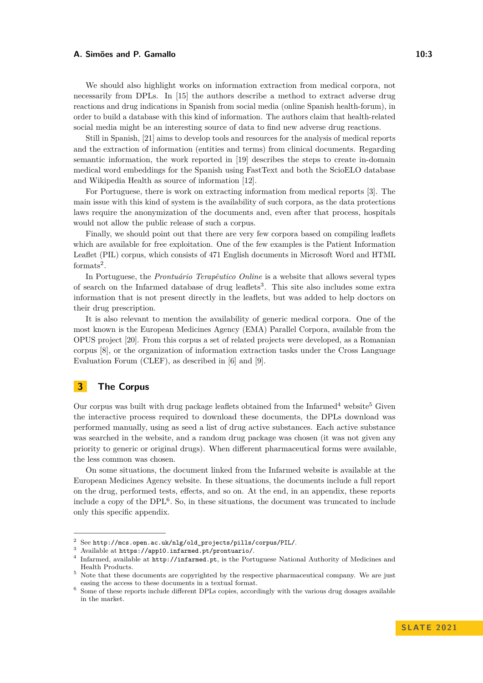We should also highlight works on information extraction from medical corpora, not necessarily from DPLs. In [\[15\]](#page-8-4) the authors describe a method to extract adverse drug reactions and drug indications in Spanish from social media (online Spanish health-forum), in order to build a database with this kind of information. The authors claim that health-related social media might be an interesting source of data to find new adverse drug reactions.

Still in Spanish, [\[21\]](#page-9-3) aims to develop tools and resources for the analysis of medical reports and the extraction of information (entities and terms) from clinical documents. Regarding semantic information, the work reported in [\[19\]](#page-9-4) describes the steps to create in-domain medical word embeddings for the Spanish using FastText and both the ScioELO database and Wikipedia Health as source of information [\[12\]](#page-8-5).

For Portuguese, there is work on extracting information from medical reports [\[3\]](#page-7-1). The main issue with this kind of system is the availability of such corpora, as the data protections laws require the anonymization of the documents and, even after that process, hospitals would not allow the public release of such a corpus.

Finally, we should point out that there are very few corpora based on compiling leaflets which are available for free exploitation. One of the few examples is the Patient Information Leaflet (PIL) corpus, which consists of 471 English documents in Microsoft Word and HTML  $formats<sup>2</sup>$  $formats<sup>2</sup>$  $formats<sup>2</sup>$ .

In Portuguese, the *Prontuário Terapêutico Online* is a website that allows several types of search on the Infarmed database of drug leaflets<sup>[3](#page-2-2)</sup>. This site also includes some extra information that is not present directly in the leaflets, but was added to help doctors on their drug prescription.

It is also relevant to mention the availability of generic medical corpora. One of the most known is the European Medicines Agency (EMA) Parallel Corpora, available from the OPUS project [\[20\]](#page-9-5). From this corpus a set of related projects were developed, as a Romanian corpus [\[8\]](#page-8-6), or the organization of information extraction tasks under the Cross Language Evaluation Forum (CLEF), as described in [\[6\]](#page-8-7) and [\[9\]](#page-8-8).

# <span id="page-2-0"></span>**3 The Corpus**

Our corpus was built with drug package leaflets obtained from the Infarmed<sup>[4](#page-2-3)</sup> website<sup>[5](#page-2-4)</sup> Given the interactive process required to download these documents, the DPLs download was performed manually, using as seed a list of drug active substances. Each active substance was searched in the website, and a random drug package was chosen (it was not given any priority to generic or original drugs). When different pharmaceutical forms were available, the less common was chosen.

On some situations, the document linked from the Infarmed website is available at the European Medicines Agency website. In these situations, the documents include a full report on the drug, performed tests, effects, and so on. At the end, in an appendix, these reports include a copy of the DPL[6](#page-2-5) . So, in these situations, the document was truncated to include only this specific appendix.

<span id="page-2-1"></span> $^2\,$  See [http://mcs.open.ac.uk/nlg/old\\_projects/pills/corpus/PIL/](http://mcs.open.ac.uk/nlg/old_projects/pills/corpus/PIL/).

<span id="page-2-2"></span><sup>3</sup> Available at <https://app10.infarmed.pt/prontuario/>.

<span id="page-2-3"></span><sup>4</sup> Infarmed, available at <http://infarmed.pt>, is the Portuguese National Authority of Medicines and Health Products.

<span id="page-2-4"></span><sup>5</sup> Note that these documents are copyrighted by the respective pharmaceutical company. We are just easing the access to these documents in a textual format.

<span id="page-2-5"></span><sup>&</sup>lt;sup>6</sup> Some of these reports include different DPLs copies, accordingly with the various drug dosages available in the market.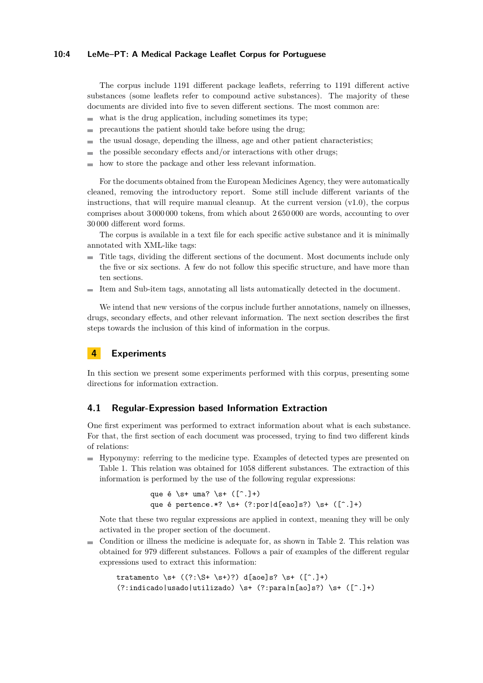#### **10:4 LeMe–PT: A Medical Package Leaflet Corpus for Portuguese**

The corpus include 1191 different package leaflets, referring to 1191 different active substances (some leaflets refer to compound active substances). The majority of these documents are divided into five to seven different sections. The most common are:

- $\blacksquare$  what is the drug application, including sometimes its type;
- $\blacksquare$  precautions the patient should take before using the drug;
- the usual dosage, depending the illness, age and other patient characteristics;  $\equiv$
- the possible secondary effects and/or interactions with other drugs;  $\overline{a}$
- how to store the package and other less relevant information.

For the documents obtained from the European Medicines Agency, they were automatically cleaned, removing the introductory report. Some still include different variants of the instructions, that will require manual cleanup. At the current version  $(v1.0)$ , the corpus comprises about 3 000 000 tokens, from which about 2 650 000 are words, accounting to over 30 000 different word forms.

The corpus is available in a text file for each specific active substance and it is minimally annotated with XML-like tags:

- Title tags, dividing the different sections of the document. Most documents include only the five or six sections. A few do not follow this specific structure, and have more than ten sections.
- Item and Sub-item tags, annotating all lists automatically detected in the document.

We intend that new versions of the corpus include further annotations, namely on illnesses, drugs, secondary effects, and other relevant information. The next section describes the first steps towards the inclusion of this kind of information in the corpus.

# <span id="page-3-0"></span>**4 Experiments**

In this section we present some experiments performed with this corpus, presenting some directions for information extraction.

## **4.1 Regular-Expression based Information Extraction**

One first experiment was performed to extract information about what is each substance. For that, the first section of each document was processed, trying to find two different kinds of relations:

Hyponymy: referring to the medicine type. Examples of detected types are presented on Table [1.](#page-4-0) This relation was obtained for 1058 different substances. The extraction of this information is performed by the use of the following regular expressions:

```
que é \setminuss+ uma? \setminuss+ (\lceil<sup>-</sup>.]+)
que é pertence.*? \s+ (?:por|d[eao]s?) \s+ ([^.]+)
```
Note that these two regular expressions are applied in context, meaning they will be only activated in the proper section of the document.

 $\blacksquare$  Condition or illness the medicine is adequate for, as shown in Table [2.](#page-4-1) This relation was obtained for 979 different substances. Follows a pair of examples of the different regular expressions used to extract this information:

```
tratamento \s+ ((?:\S + \S+)?) d[aoe]s? \s+ ([^{\frown}].+)(?:indicado|usado|utilizado) \s+ (?:para|n[ao]s?) \s+ ([^.]+)
```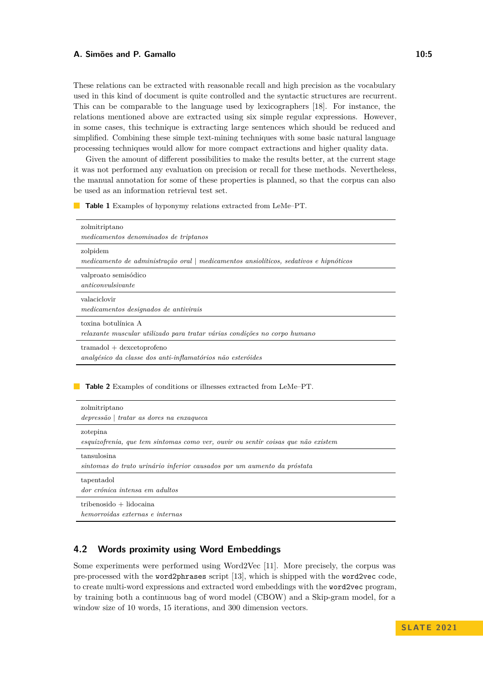These relations can be extracted with reasonable recall and high precision as the vocabulary used in this kind of document is quite controlled and the syntactic structures are recurrent. This can be comparable to the language used by lexicographers [\[18\]](#page-9-6). For instance, the relations mentioned above are extracted using six simple regular expressions. However, in some cases, this technique is extracting large sentences which should be reduced and simplified. Combining these simple text-mining techniques with some basic natural language processing techniques would allow for more compact extractions and higher quality data.

Given the amount of different possibilities to make the results better, at the current stage it was not performed any evaluation on precision or recall for these methods. Nevertheless, the manual annotation for some of these properties is planned, so that the corpus can also be used as an information retrieval test set.

<span id="page-4-0"></span>**Table 1** Examples of hyponymy relations extracted from LeMe–PT.

| zolmitriptano<br>medicamentos denominados de triptanos                                            |
|---------------------------------------------------------------------------------------------------|
| zolpidem<br>medicamento de administração oral   medicamentos ansiolíticos, sedativos e hipnóticos |
| valproato semisódico<br>anticonvulsivamente                                                       |
| valaciclovir<br>medicamentos designados de antivirais                                             |
| toxina botulínica A<br>relaxante muscular utilizado para tratar várias condições no corpo humano  |
| $transdol + descetoprofeno$<br>analgésico da classe dos anti-inflamatórios não esteróides         |
| <b>Table 2</b> Examples of conditions or illnesses extracted from LeMe–PT.                        |
| zolmitriptano<br>depressão   tratar as dores na enxagueca                                         |
| zotepina<br>esquizofrenia, que tem sintomas como ver, ouvir ou sentir coisas que não existem      |
| tansulosina<br>sintomas do trato urinário inferior causados por um aumento da próstata            |
| tapentadol                                                                                        |

<span id="page-4-1"></span>*dor crónica intensa em adultos*

 $tribenosido + lidocaina$ 

*hemorroidas externas e internas*

# **4.2 Words proximity using Word Embeddings**

Some experiments were performed using Word2Vec [\[11\]](#page-8-9). More precisely, the corpus was pre-processed with the word2phrases script [\[13\]](#page-8-10), which is shipped with the word2vec code, to create multi-word expressions and extracted word embeddings with the word2vec program, by training both a continuous bag of word model (CBOW) and a Skip-gram model, for a window size of 10 words, 15 iterations, and 300 dimension vectors.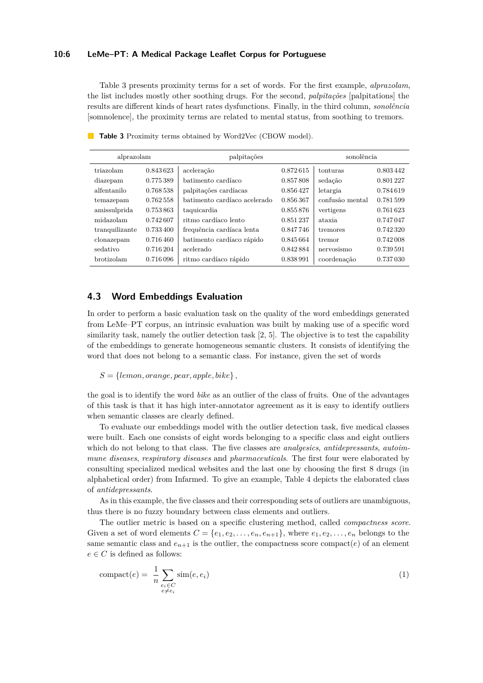#### **10:6 LeMe–PT: A Medical Package Leaflet Corpus for Portuguese**

Table [3](#page-5-0) presents proximity terms for a set of words. For the first example, *alprazolam*, the list includes mostly other soothing drugs. For the second, *palpitações* [palpitations] the results are different kinds of heart rates dysfunctions. Finally, in the third column, *sonolência* [somnolence], the proximity terms are related to mental status, from soothing to tremors.

| alprazolam     |           | palpitações                  |           | sonolência      |          |
|----------------|-----------|------------------------------|-----------|-----------------|----------|
| triazolam      | 0.843623  | aceleração                   | 0.872615  | tonturas        | 0.803442 |
| diazepam       | 0.775389  | batimento cardíaco           | 0.857808  | sedação         | 0.801227 |
| alfentanilo    | 0.768 538 | palpitações cardíacas        | 0.856427  | letargia        | 0.784619 |
| temazepam      | 0.762558  | batimento cardíaco acelerado | 0.856367  | confusão mental | 0.781599 |
| amissulprida   | 0.753863  | taquicardia                  | 0.855876  | vertigens       | 0.761623 |
| midazolam      | 0.742607  | ritmo cardíaco lento         | 0.851 237 | ataxia          | 0.747047 |
| tranquilizante | 0.733400  | frequência cardíaca lenta    | 0.847746  | tremores        | 0.742320 |
| clonazepam     | 0.716460  | batimento cardíaco rápido    | 0.845664  | tremor          | 0.742008 |
| sedativo       | 0.716 204 | acelerado                    | 0.842884  | nervosismo      | 0.739591 |
| brotizolam     | 0.716 096 | ritmo cardíaco rápido        | 0.838991  | coordenação     | 0.737030 |

<span id="page-5-0"></span>**Table 3** Proximity terms obtained by Word2Vec (CBOW model).

# **4.3 Word Embeddings Evaluation**

In order to perform a basic evaluation task on the quality of the word embeddings generated from LeMe–PT corpus, an intrinsic evaluation was built by making use of a specific word similarity task, namely the outlier detection task [\[2,](#page-7-2) [5\]](#page-8-11). The objective is to test the capability of the embeddings to generate homogeneous semantic clusters. It consists of identifying the word that does not belong to a semantic class. For instance, given the set of words

 $S = \{lemon, orange, pear, apple, bike\}$ 

the goal is to identify the word *bike* as an outlier of the class of fruits. One of the advantages of this task is that it has high inter-annotator agreement as it is easy to identify outliers when semantic classes are clearly defined.

To evaluate our embeddings model with the outlier detection task, five medical classes were built. Each one consists of eight words belonging to a specific class and eight outliers which do not belong to that class. The five classes are *analgesics*, *antidepressants*, *autoimmune diseases*, *respiratory diseases* and *pharmaceuticals*. The first four were elaborated by consulting specialized medical websites and the last one by choosing the first 8 drugs (in alphabetical order) from Infarmed. To give an example, Table [4](#page-6-0) depicts the elaborated class of *antidepressants*.

As in this example, the five classes and their corresponding sets of outliers are unambiguous, thus there is no fuzzy boundary between class elements and outliers.

The outlier metric is based on a specific clustering method, called *compactness score*. Given a set of word elements  $C = \{e_1, e_2, \ldots, e_n, e_{n+1}\}\$ , where  $e_1, e_2, \ldots, e_n$  belongs to the same semantic class and  $e_{n+1}$  is the outlier, the compactness score compact( $e$ ) of an element  $e \in C$  is defined as follows:

$$
compact(e) = \frac{1}{n} \sum_{\substack{e_i \in C \\ e \neq e_i}} sim(e, e_i)
$$
\n(1)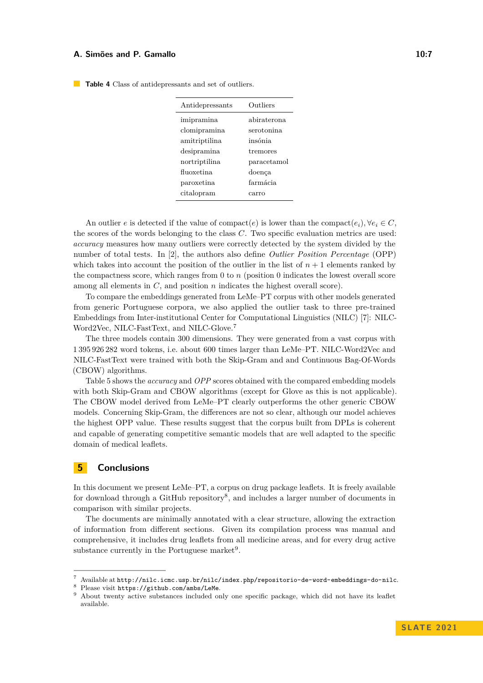| Antidepressants | Outliers    |
|-----------------|-------------|
| imipramina      | abiraterona |
| clomipramina    | serotonina  |
| amitriptilina   | insónia     |
| desipramina     | tremores    |
| nortriptilina   | paracetamol |
| fluoxetina      | doenca      |
| paroxetina      | farmácia    |
| citalopram      | carro       |

<span id="page-6-0"></span>**Table 4** Class of antidepressants and set of outliers.

An outlier *e* is detected if the value of compact(*e*) is lower than the compact( $e_i$ ),  $\forall e_i \in C$ , the scores of the words belonging to the class *C*. Two specific evaluation metrics are used: *accuracy* measures how many outliers were correctly detected by the system divided by the number of total tests. In [\[2\]](#page-7-2), the authors also define *Outlier Position Percentage* (OPP) which takes into account the position of the outlier in the list of  $n + 1$  elements ranked by the compactness score, which ranges from 0 to *n* (position 0 indicates the lowest overall score among all elements in *C*, and position *n* indicates the highest overall score).

To compare the embeddings generated from LeMe–PT corpus with other models generated from generic Portuguese corpora, we also applied the outlier task to three pre-trained Embeddings from Inter-institutional Center for Computational Linguistics (NILC) [\[7\]](#page-8-12): NILC-Word2Vec, NILC-FastText, and NILC-Glove.[7](#page-6-1)

The three models contain 300 dimensions. They were generated from a vast corpus with 1 395 926 282 word tokens, i.e. about 600 times larger than LeMe–PT. NILC-Word2Vec and NILC-FastText were trained with both the Skip-Gram and and Continuous Bag-Of-Words (CBOW) algorithms.

Table [5](#page-7-3) shows the *accuracy* and *OPP* scores obtained with the compared embedding models with both Skip-Gram and CBOW algorithms (except for Glove as this is not applicable). The CBOW model derived from LeMe–PT clearly outperforms the other generic CBOW models. Concerning Skip-Gram, the differences are not so clear, although our model achieves the highest OPP value. These results suggest that the corpus built from DPLs is coherent and capable of generating competitive semantic models that are well adapted to the specific domain of medical leaflets.

# **5 Conclusions**

In this document we present LeMe–PT, a corpus on drug package leaflets. It is freely available for download through a GitHub repository<sup>[8](#page-6-2)</sup>, and includes a larger number of documents in comparison with similar projects.

The documents are minimally annotated with a clear structure, allowing the extraction of information from different sections. Given its compilation process was manual and comprehensive, it includes drug leaflets from all medicine areas, and for every drug active substance currently in the Portuguese market<sup>[9](#page-6-3)</sup>.

<span id="page-6-1"></span><sup>7</sup> Available at <http://nilc.icmc.usp.br/nilc/index.php/repositorio-de-word-embeddings-do-nilc>.

<span id="page-6-2"></span>Please visit <https://github.com/ambs/LeMe>.

<span id="page-6-3"></span>About twenty active substances included only one specific package, which did not have its leaflet available.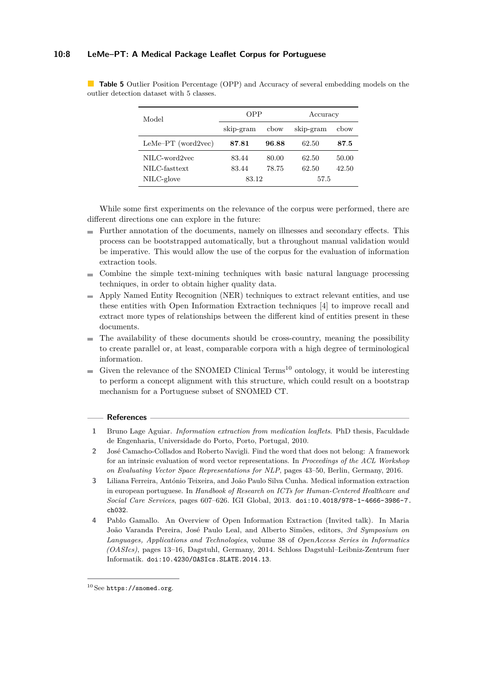## **10:8 LeMe–PT: A Medical Package Leaflet Corpus for Portuguese**

| Model                | OPP       |       | Accuracy  |       |
|----------------------|-----------|-------|-----------|-------|
|                      | skip-gram | cbow  | skip-gram | cbow  |
| $LeMe-PT$ (word2vec) | 87.81     | 96.88 | 62.50     | 87.5  |
| NILC-word2yec        | 83.44     | 80.00 | 62.50     | 50.00 |
| NILC-fasttext        | 83.44     | 78.75 | 62.50     | 42.50 |
| NILC-glove           | 83.12     |       | 57.5      |       |

<span id="page-7-3"></span>**Table 5** Outlier Position Percentage (OPP) and Accuracy of several embedding models on the outlier detection dataset with 5 classes.

While some first experiments on the relevance of the corpus were performed, there are different directions one can explore in the future:

- Further annotation of the documents, namely on illnesses and secondary effects. This process can be bootstrapped automatically, but a throughout manual validation would be imperative. This would allow the use of the corpus for the evaluation of information extraction tools.
- Combine the simple text-mining techniques with basic natural language processing  $\sim$ techniques, in order to obtain higher quality data.
- Apply Named Entity Recognition (NER) techniques to extract relevant entities, and use these entities with Open Information Extraction techniques [\[4\]](#page-7-4) to improve recall and extract more types of relationships between the different kind of entities present in these documents.
- The availability of these documents should be cross-country, meaning the possibility to create parallel or, at least, comparable corpora with a high degree of terminological information.
- Given the relevance of the SNOMED Clinical Terms<sup>[10](#page-7-5)</sup> ontology, it would be interesting to perform a concept alignment with this structure, which could result on a bootstrap mechanism for a Portuguese subset of SNOMED CT.

#### **References**

- <span id="page-7-0"></span>**1** Bruno Lage Aguiar. *Information extraction from medication leaflets*. PhD thesis, Faculdade de Engenharia, Universidade do Porto, Porto, Portugal, 2010.
- <span id="page-7-2"></span>**2** José Camacho-Collados and Roberto Navigli. Find the word that does not belong: A framework for an intrinsic evaluation of word vector representations. In *Proceedings of the ACL Workshop on Evaluating Vector Space Representations for NLP*, pages 43–50, Berlin, Germany, 2016.
- <span id="page-7-1"></span>**3** Liliana Ferreira, António Teixeira, and João Paulo Silva Cunha. Medical information extraction in european portuguese. In *Handbook of Research on ICTs for Human-Centered Healthcare and Social Care Services*, pages 607–626. IGI Global, 2013. [doi:10.4018/978-1-4666-3986-7.](https://doi.org/10.4018/978-1-4666-3986-7.ch032) [ch032](https://doi.org/10.4018/978-1-4666-3986-7.ch032).
- <span id="page-7-4"></span>**4** Pablo Gamallo. An Overview of Open Information Extraction (Invited talk). In Maria João Varanda Pereira, José Paulo Leal, and Alberto Simões, editors, *3rd Symposium on Languages, Applications and Technologies*, volume 38 of *OpenAccess Series in Informatics (OASIcs)*, pages 13–16, Dagstuhl, Germany, 2014. Schloss Dagstuhl–Leibniz-Zentrum fuer Informatik. [doi:10.4230/OASIcs.SLATE.2014.13](https://doi.org/10.4230/OASIcs.SLATE.2014.13).

<span id="page-7-5"></span> $^{10}\mathrm{See}$  <https://snomed.org>.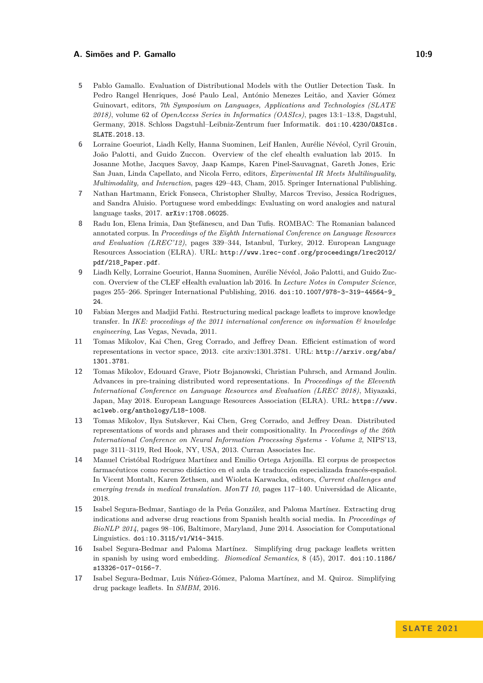- <span id="page-8-11"></span>**5** Pablo Gamallo. Evaluation of Distributional Models with the Outlier Detection Task. In Pedro Rangel Henriques, José Paulo Leal, António Menezes Leitão, and Xavier Gómez Guinovart, editors, *7th Symposium on Languages, Applications and Technologies (SLATE 2018)*, volume 62 of *OpenAccess Series in Informatics (OASIcs)*, pages 13:1–13:8, Dagstuhl, Germany, 2018. Schloss Dagstuhl–Leibniz-Zentrum fuer Informatik. [doi:10.4230/OASIcs.](https://doi.org/10.4230/OASIcs.SLATE.2018.13) [SLATE.2018.13](https://doi.org/10.4230/OASIcs.SLATE.2018.13).
- <span id="page-8-7"></span>**6** Lorraine Goeuriot, Liadh Kelly, Hanna Suominen, Leif Hanlen, Aurélie Névéol, Cyril Grouin, João Palotti, and Guido Zuccon. Overview of the clef ehealth evaluation lab 2015. In Josanne Mothe, Jacques Savoy, Jaap Kamps, Karen Pinel-Sauvagnat, Gareth Jones, Eric San Juan, Linda Capellato, and Nicola Ferro, editors, *Experimental IR Meets Multilinguality, Multimodality, and Interaction*, pages 429–443, Cham, 2015. Springer International Publishing.
- <span id="page-8-12"></span>**7** Nathan Hartmann, Erick Fonseca, Christopher Shulby, Marcos Treviso, Jessica Rodrigues, and Sandra Aluisio. Portuguese word embeddings: Evaluating on word analogies and natural language tasks, 2017. [arXiv:1708.06025](http://arxiv.org/abs/1708.06025).
- <span id="page-8-6"></span>Radu Ion, Elena Irimia, Dan Stefănescu, and Dan Tufis, ROMBAC: The Romanian balanced annotated corpus. In *Proceedings of the Eighth International Conference on Language Resources and Evaluation (LREC'12)*, pages 339–344, Istanbul, Turkey, 2012. European Language Resources Association (ELRA). URL: [http://www.lrec-conf.org/proceedings/lrec2012/](http://www.lrec-conf.org/proceedings/lrec2012/pdf/218_Paper.pdf) [pdf/218\\_Paper.pdf](http://www.lrec-conf.org/proceedings/lrec2012/pdf/218_Paper.pdf).
- <span id="page-8-8"></span>**9** Liadh Kelly, Lorraine Goeuriot, Hanna Suominen, Aurélie Névéol, João Palotti, and Guido Zuccon. Overview of the CLEF eHealth evaluation lab 2016. In *Lecture Notes in Computer Science*, pages 255–266. Springer International Publishing, 2016. [doi:10.1007/978-3-319-44564-9\\_](https://doi.org/10.1007/978-3-319-44564-9_24) [24](https://doi.org/10.1007/978-3-319-44564-9_24).
- <span id="page-8-2"></span>**10** Fabian Merges and Madjid Fathi. Restructuring medical package leaflets to improve knowledge transfer. In *IKE: proceedings of the 2011 international conference on information & knowledge engineering*, Las Vegas, Nevada, 2011.
- <span id="page-8-9"></span>**11** Tomas Mikolov, Kai Chen, Greg Corrado, and Jeffrey Dean. Efficient estimation of word representations in vector space, 2013. cite arxiv:1301.3781. URL: [http://arxiv.org/abs/](http://arxiv.org/abs/1301.3781) [1301.3781](http://arxiv.org/abs/1301.3781).
- <span id="page-8-5"></span>**12** Tomas Mikolov, Edouard Grave, Piotr Bojanowski, Christian Puhrsch, and Armand Joulin. Advances in pre-training distributed word representations. In *Proceedings of the Eleventh International Conference on Language Resources and Evaluation (LREC 2018)*, Miyazaki, Japan, May 2018. European Language Resources Association (ELRA). URL: [https://www.](https://www.aclweb.org/anthology/L18-1008) [aclweb.org/anthology/L18-1008](https://www.aclweb.org/anthology/L18-1008).
- <span id="page-8-10"></span>**13** Tomas Mikolov, Ilya Sutskever, Kai Chen, Greg Corrado, and Jeffrey Dean. Distributed representations of words and phrases and their compositionality. In *Proceedings of the 26th International Conference on Neural Information Processing Systems - Volume 2*, NIPS'13, page 3111–3119, Red Hook, NY, USA, 2013. Curran Associates Inc.
- <span id="page-8-3"></span>**14** Manuel Cristóbal Rodríguez Martínez and Emilio Ortega Arjonilla. El corpus de prospectos farmacéuticos como recurso didáctico en el aula de traducción especializada francés-español. In Vicent Montalt, Karen Zethsen, and Wioleta Karwacka, editors, *Current challenges and emerging trends in medical translation. MonTI 10*, pages 117–140. Universidad de Alicante, 2018.
- <span id="page-8-4"></span>**15** Isabel Segura-Bedmar, Santiago de la Peña González, and Paloma Martínez. Extracting drug indications and adverse drug reactions from Spanish health social media. In *Proceedings of BioNLP 2014*, pages 98–106, Baltimore, Maryland, June 2014. Association for Computational Linguistics. [doi:10.3115/v1/W14-3415](https://doi.org/10.3115/v1/W14-3415).
- <span id="page-8-1"></span>**16** Isabel Segura-Bedmar and Paloma Martínez. Simplifying drug package leaflets written in spanish by using word embedding. *Biomedical Semantics*, 8 (45), 2017. [doi:10.1186/](https://doi.org/10.1186/s13326-017-0156-7) [s13326-017-0156-7](https://doi.org/10.1186/s13326-017-0156-7).
- <span id="page-8-0"></span>**17** Isabel Segura-Bedmar, Luis Núñez-Gómez, Paloma Martínez, and M. Quiroz. Simplifying drug package leaflets. In *SMBM*, 2016.